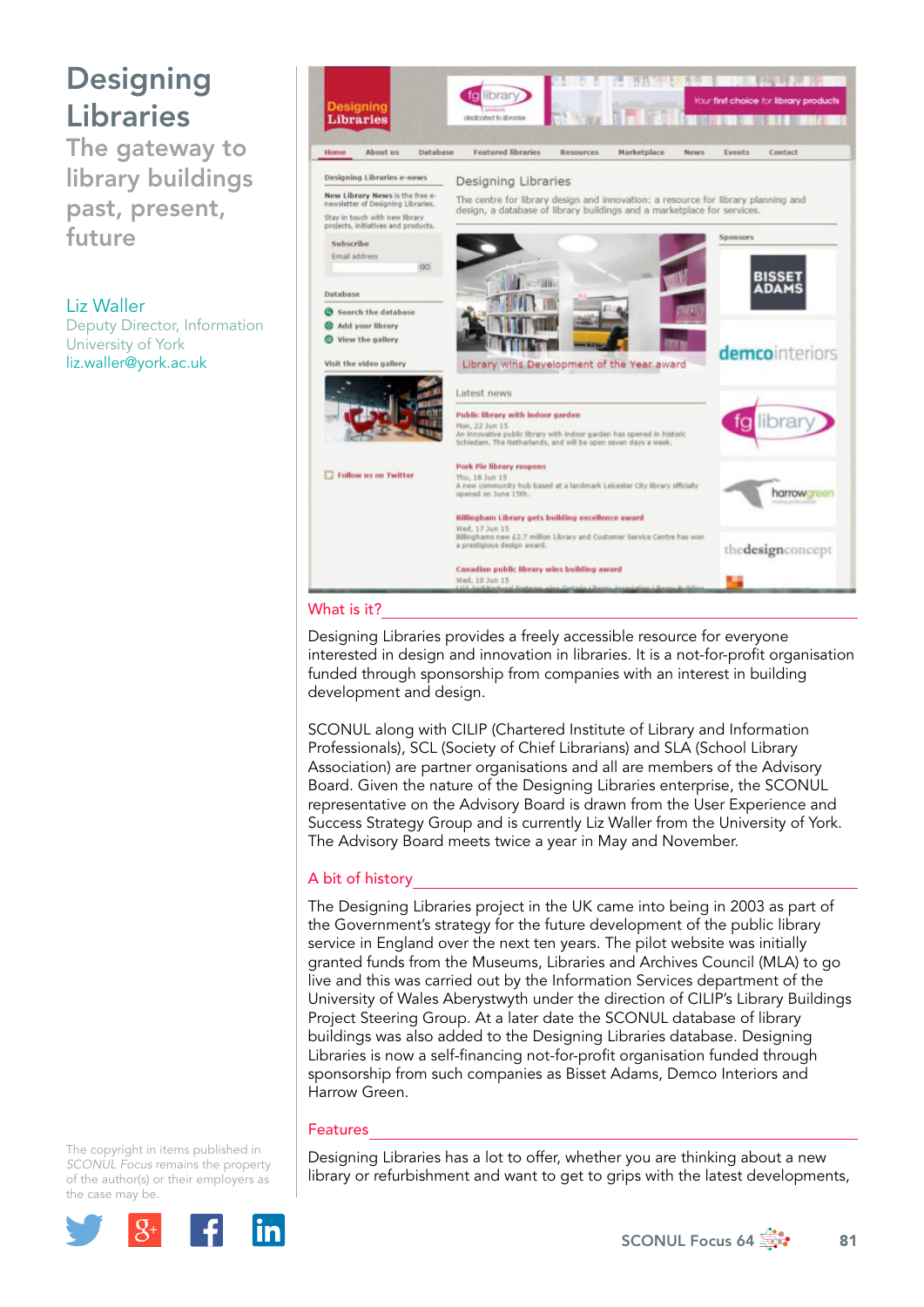## Designing Libraries

The gateway to library buildings past, present, future

Liz Waller Deputy Director, Information University of York liz.waller@york.ac.uk



#### What is it?

Designing Libraries provides a freely accessible resource for everyone interested in design and innovation in libraries. It is a not-for-profit organisation funded through sponsorship from companies with an interest in building development and design.

SCONUL along with CILIP (Chartered Institute of Library and Information Professionals), SCL (Society of Chief Librarians) and SLA (School Library Association) are partner organisations and all are members of the Advisory Board. Given the nature of the Designing Libraries enterprise, the SCONUL representative on the Advisory Board is drawn from the User Experience and Success Strategy Group and is currently Liz Waller from the University of York. The Advisory Board meets twice a year in May and November.

### A bit of history

The Designing Libraries project in the UK came into being in 2003 as part of the Government's strategy for the future development of the public library service in England over the next ten years. The pilot website was initially granted funds from the Museums, Libraries and Archives Council (MLA) to go live and this was carried out by the Information Services department of the University of Wales Aberystwyth under the direction of CILIP's Library Buildings Project Steering Group. At a later date the SCONUL database of library buildings was also added to the Designing Libraries database. Designing Libraries is now a self-financing not-for-profit organisation funded through sponsorship from such companies as Bisset Adams, Demco Interiors and Harrow Green.

#### Features

Designing Libraries has a lot to offer, whether you are thinking about a new library or refurbishment and want to get to grips with the latest developments,

The copyright in items published in *SCONUL Focus* remains the property of the author(s) or their employers as the case m[ay be.](http://plus.google.com/share?url=http://www.sconul.ac.uk/page/focus-64)



SCONUL Focus 64  $\frac{3}{200}$  81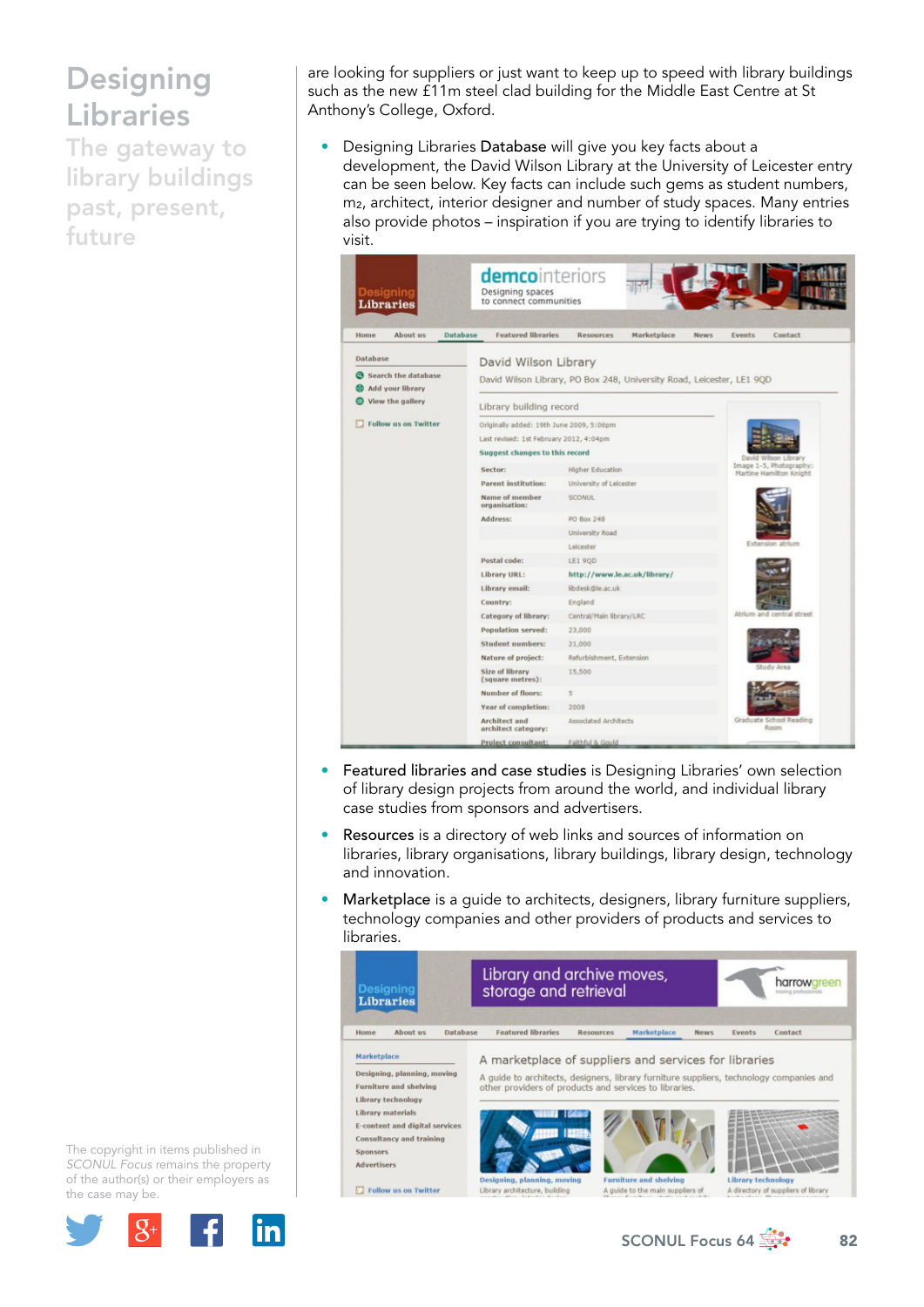# **Designing** Libraries

The gateway to library buildings past, present, future

are looking for suppliers or just want to keep up to speed with library buildings such as the new £11m steel clad building for the Middle East Centre at St Anthony's College, Oxford.

• Designing Libraries Database will give you key facts about a development, the David Wilson Library at the University of Leicester entry can be seen below. Key facts can include such gems as student numbers, m<sub>2</sub>, architect, interior designer and number of study spaces. Many entries also provide photos – inspiration if you are trying to identify libraries to visit.

| Desianina<br><b>Libraries</b>           | Designing spaces<br>to connect communities  |                                                                       |                                                    |
|-----------------------------------------|---------------------------------------------|-----------------------------------------------------------------------|----------------------------------------------------|
| About us<br>Home                        | Database<br><b>Featured libraries</b>       | Marketplace<br>Resources<br><b>News</b>                               | Contact<br>Events                                  |
| Database                                | David Wilson Library                        |                                                                       |                                                    |
| Search the database<br>Add your library |                                             | David Wilson Library, PO Box 248, University Road, Leicester, LE1 9QD |                                                    |
| View the gallery                        | Library building record                     |                                                                       |                                                    |
| <b>Follow us on Twitter</b>             | Originally added: 19th June 2009, 5:06pm    |                                                                       |                                                    |
|                                         | Last revised: 1st February 2012, 4:04pm     |                                                                       |                                                    |
|                                         | Suggest changes to this record              |                                                                       | David Wilson Librar                                |
|                                         | Sector:                                     | Higher Education                                                      | Image 1-5, Photography:<br>Martine Hamilton Knight |
|                                         | <b>Parent institution:</b>                  | University of Leicester                                               |                                                    |
|                                         | Name of member<br>organisation:             | <b>SCONUL</b>                                                         |                                                    |
|                                         | Address:                                    | PO Box 248                                                            |                                                    |
|                                         |                                             | University Road                                                       |                                                    |
|                                         |                                             | Leicester                                                             | Extension atrium                                   |
|                                         | Postal code:                                | <b>LE1 9QD</b>                                                        |                                                    |
|                                         | Library URL:                                | http://www.le.ac.uk/library/                                          |                                                    |
|                                         | Library email:                              | libdesk@le.ac.uk                                                      |                                                    |
|                                         | Country:                                    | England                                                               |                                                    |
|                                         | Category of library:                        | Central/Main library/LRC                                              | Atrium and central street                          |
|                                         | Population served:                          | 23,000                                                                |                                                    |
|                                         | Student numbers:                            | 21,000                                                                |                                                    |
|                                         | Nature of project:                          | Refurbishment, Extension                                              |                                                    |
|                                         | <b>Size of library</b><br>(square metres):  | 15,500                                                                | Study Area                                         |
|                                         | Number of floors:                           | 5                                                                     |                                                    |
|                                         | Year of completion:                         | 2008                                                                  |                                                    |
|                                         | <b>Architect</b> and<br>architect category: | Associated Architects                                                 | Graduate School Reading<br>Room                    |
|                                         | Project consultant:                         | Faithful & Gould                                                      |                                                    |

- Featured libraries and case studies is Designing Libraries' own selection of library design projects from around the world, and individual library case studies from sponsors and advertisers.
- Resources is a directory of web links and sources of information on libraries, library organisations, library buildings, library design, technology and innovation.
- Marketplace is a guide to architects, designers, library furniture suppliers, technology companies and other providers of products and services to libraries.



The copyright in items published in *SCONUL Focus* remains the property of the author(s) or their employers as the case m[ay be.](http://plus.google.com/share?url=http://www.sconul.ac.uk/page/focus-64)



SCONUL Focus 64  $\frac{4}{32}$  82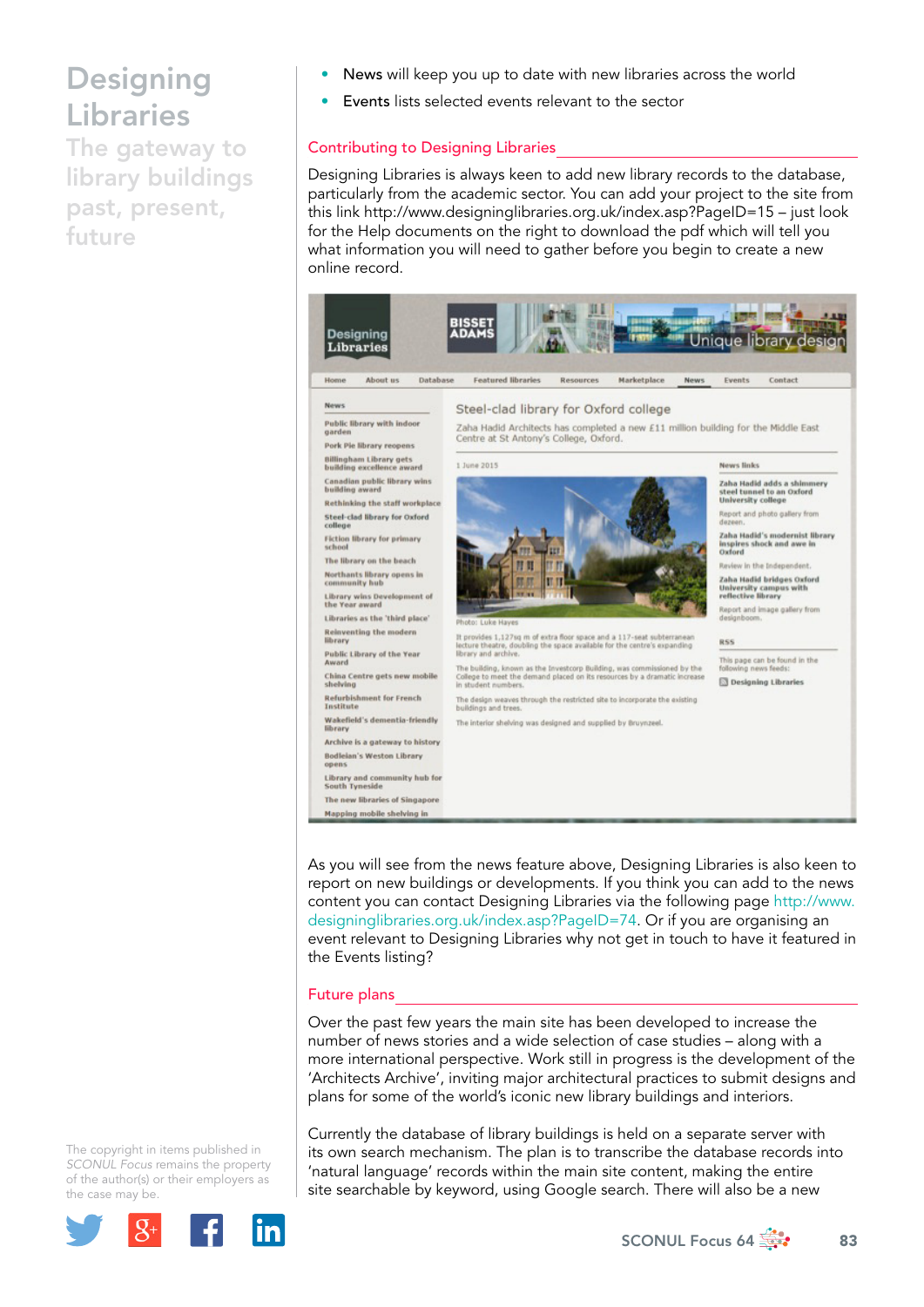## **Designing** Libraries

The gateway to library buildings past, present, future

- News will keep you up to date with new libraries across the world
- Events lists selected events relevant to the sector

## Contributing to Designing Libraries

Designing Libraries is always keen to add new library records to the database, particularly from the academic sector. You can add your project to the site from this link http://www.designinglibraries.org.uk/index.asp?PageID=15 – just look for the Help documents on the right to download the pdf which will tell you what information you will need to gather before you begin to create a new online record.



As you will see from the news feature above, Designing Libraries is also keen to report on new buildings or developments. If you think you can add to the news content you can contact Designing Libraries via the following page [http://www.](http://www.designinglibraries.org.uk/index.asp?PageID=74) [designinglibraries.org.uk/index.asp?PageID=74](http://www.designinglibraries.org.uk/index.asp?PageID=74). Or if you are organising an event relevant to Designing Libraries why not get in touch to have it featured in the Events listing?

### Future plans

Over the past few years the main site has been developed to increase the number of news stories and a wide selection of case studies – along with a more international perspective. Work still in progress is the development of the 'Architects Archive', inviting major architectural practices to submit designs and plans for some of the world's iconic new library buildings and interiors.

Currently the database of library buildings is held on a separate server with its own search mechanism. The plan is to transcribe the database records into 'natural language' records within the main site content, making the entire site searchable by keyword, using Google search. There will also be a new

The copyright in items published in *SCONUL Focus* remains the property of the author(s) or their employers as the case m[ay be.](http://plus.google.com/share?url=http://www.sconul.ac.uk/page/focus-64)